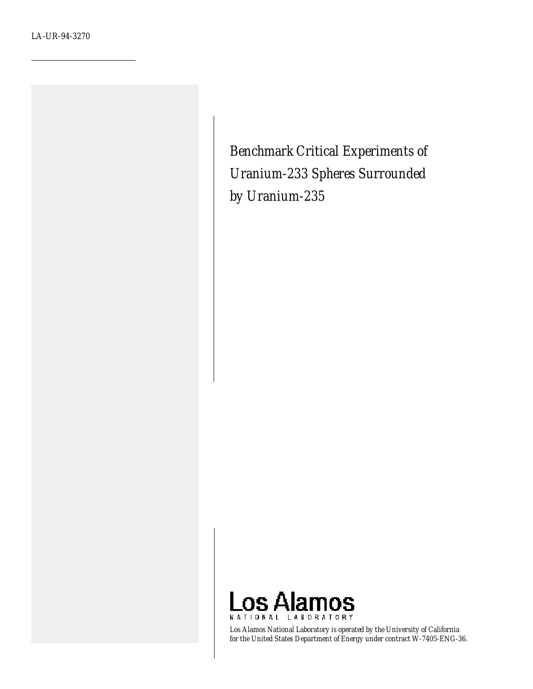*Benchmark Critical Experiments of Uranium-233 Spheres Surrounded by Uranium-235*



*Los Alamos National Laboratory is operated by the University of California for the United States Department of Energy under contract W-7405-ENG-36.*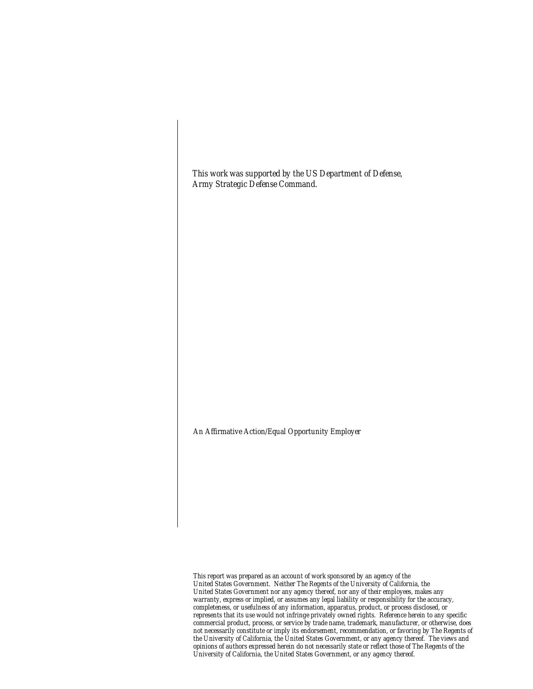*This work was supported by the US Department of Defense, Army Strategic Defense Command.*

#### *An Affirmative Action/Equal Opportunity Employer*

*This report was prepared as an account of work sponsored by an agency of the United States Government. Neither The Regents of the University of California, the United States Government nor any agency thereof, nor any of their employees, makes any warranty, express or implied, or assumes any legal liability or responsibility for the accuracy, completeness, or usefulness of any information, apparatus, product, or process disclosed, or represents that its use would not infringe privately owned rights. Reference herein to any specific commercial product, process, or service by trade name, trademark, manufacturer, or otherwise, does not necessarily constitute or imply its endorsement, recommendation, or favoring by The Regents of the University of California, the United States Government, or any agency thereof. The views and opinions of authors expressed herein do not necessarily state or reflect those of The Regents of the University of California, the United States Government, or any agency thereof.*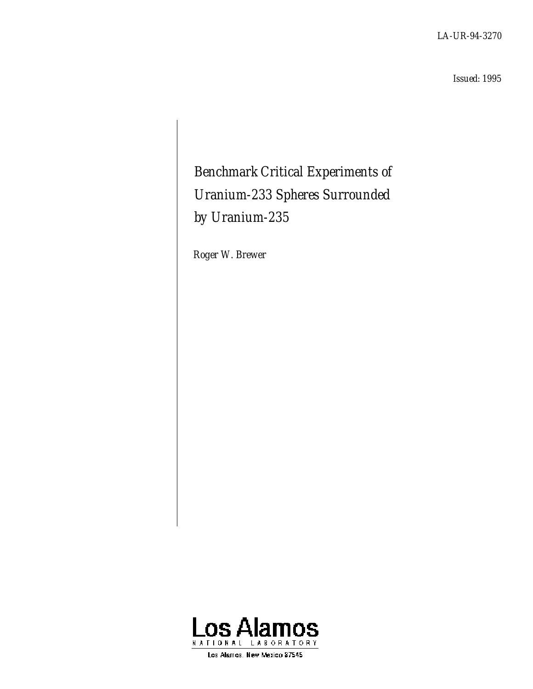*LA-UR-94-3270*

*Issued: 1995*

# *Benchmark Critical Experiments of Uranium-233 Spheres Surrounded by Uranium-235*

*Roger W. Brewer*



Los Alamos, New Maxico 87545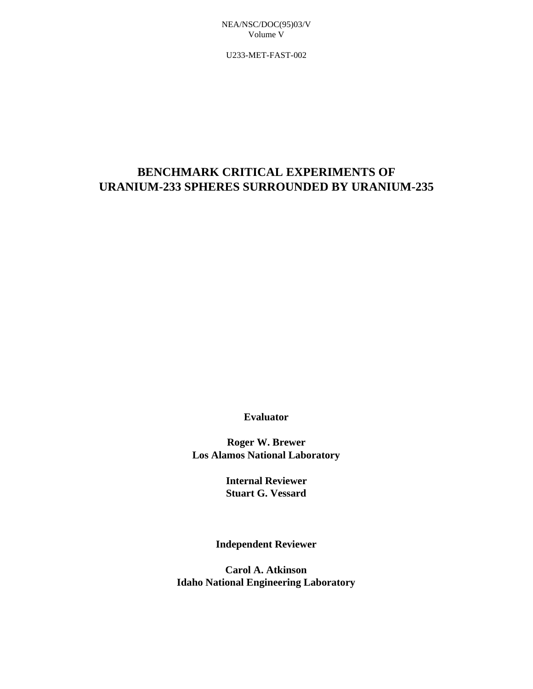U233-MET-FAST-002

# **BENCHMARK CRITICAL EXPERIMENTS OF URANIUM-233 SPHERES SURROUNDED BY URANIUM-235**

**Evaluator**

**Roger W. Brewer Los Alamos National Laboratory**

> **Internal Reviewer Stuart G. Vessard**

**Independent Reviewer**

**Carol A. Atkinson Idaho National Engineering Laboratory**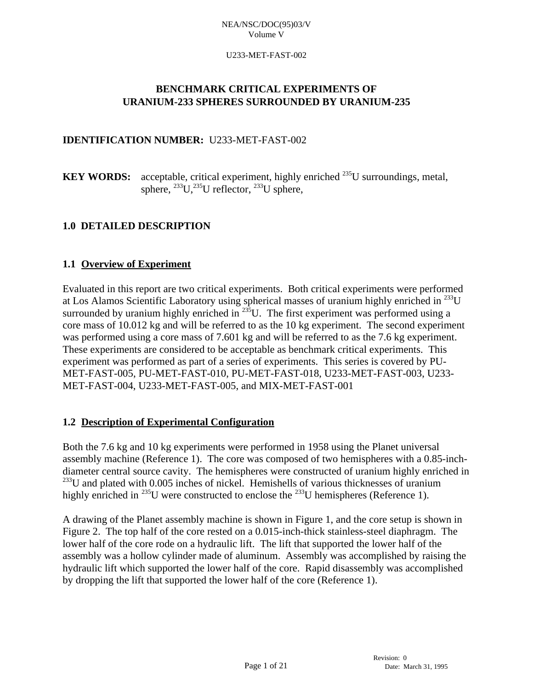## U233-MET-FAST-002

# **BENCHMARK CRITICAL EXPERIMENTS OF URANIUM-233 SPHERES SURROUNDED BY URANIUM-235**

# **IDENTIFICATION NUMBER:** U233-MET-FAST-002

**KEY WORDS:** acceptable, critical experiment, highly enriched  $^{235}$ U surroundings, metal, sphere,  $^{233}U,^{235}U$  reflector,  $^{233}U$  sphere,

# **1.0 DETAILED DESCRIPTION**

# **1.1 Overview of Experiment**

Evaluated in this report are two critical experiments. Both critical experiments were performed at Los Alamos Scientific Laboratory using spherical masses of uranium highly enriched in  $^{233}$ U surrounded by uranium highly enriched in  $^{235}$ U. The first experiment was performed using a core mass of 10.012 kg and will be referred to as the 10 kg experiment. The second experiment was performed using a core mass of 7.601 kg and will be referred to as the 7.6 kg experiment. These experiments are considered to be acceptable as benchmark critical experiments. This experiment was performed as part of a series of experiments. This series is covered by PU-MET-FAST-005, PU-MET-FAST-010, PU-MET-FAST-018, U233-MET-FAST-003, U233- MET-FAST-004, U233-MET-FAST-005, and MIX-MET-FAST-001

# **1.2 Description of Experimental Configuration**

Both the 7.6 kg and 10 kg experiments were performed in 1958 using the Planet universal assembly machine (Reference 1). The core was composed of two hemispheres with a 0.85-inchdiameter central source cavity. The hemispheres were constructed of uranium highly enriched in  $^{233}$ U and plated with 0.005 inches of nickel. Hemishells of various thicknesses of uranium highly enriched in <sup>235</sup>U were constructed to enclose the <sup>233</sup>U hemispheres (Reference 1).

A drawing of the Planet assembly machine is shown in Figure 1, and the core setup is shown in Figure 2. The top half of the core rested on a 0.015-inch-thick stainless-steel diaphragm. The lower half of the core rode on a hydraulic lift. The lift that supported the lower half of the assembly was a hollow cylinder made of aluminum. Assembly was accomplished by raising the hydraulic lift which supported the lower half of the core. Rapid disassembly was accomplished by dropping the lift that supported the lower half of the core (Reference 1).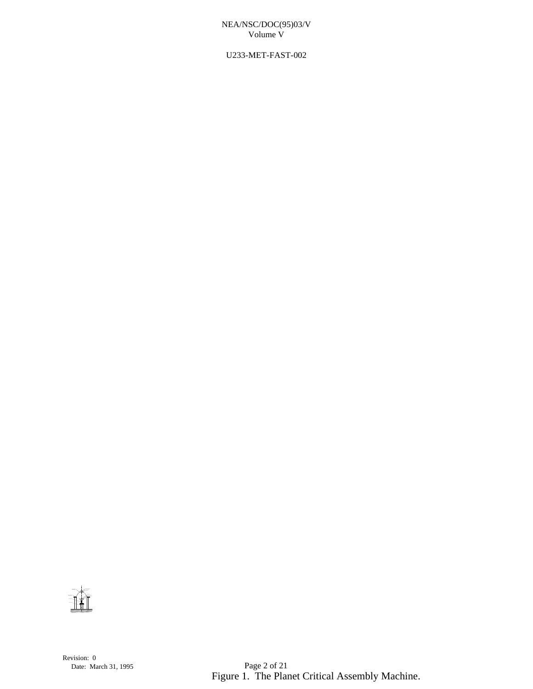U233-MET-FAST-002

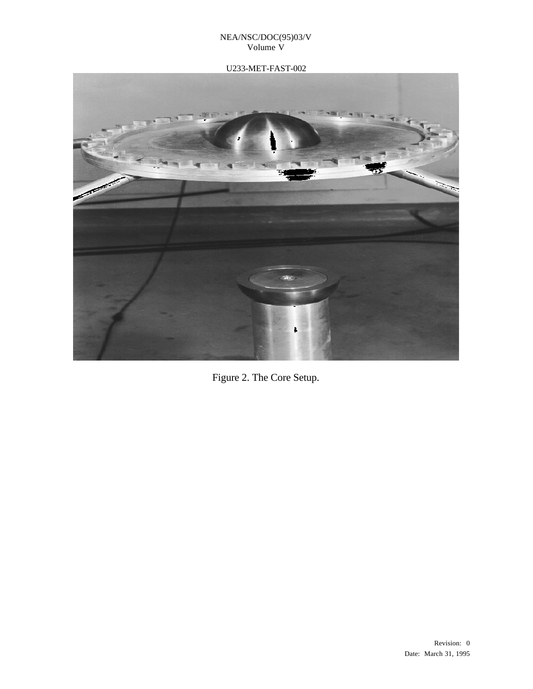# U233-MET-FAST-002



Figure 2. The Core Setup.

Revision: 0 Date: March 31, 1995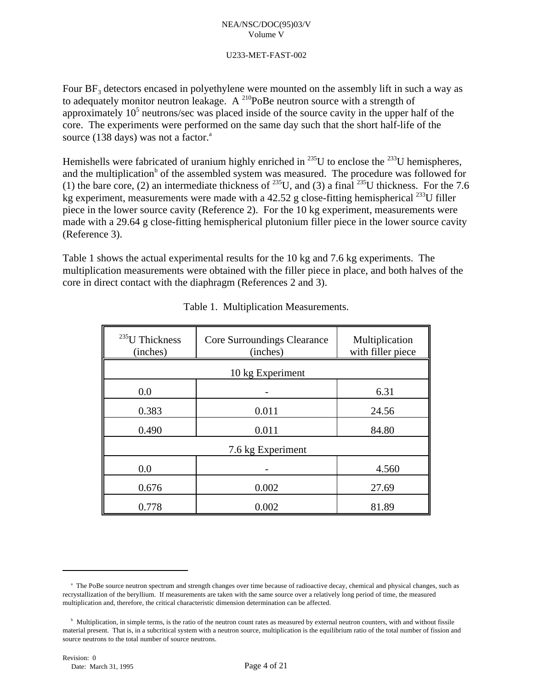## U233-MET-FAST-002

Four  $BF_3$  detectors encased in polyethylene were mounted on the assembly lift in such a way as to adequately monitor neutron leakage. A  $^{210}$ PoBe neutron source with a strength of approximately  $10<sup>5</sup>$  neutrons/sec was placed inside of the source cavity in the upper half of the core. The experiments were performed on the same day such that the short half-life of the source (138 days) was not a factor. $a^2$ 

Hemishells were fabricated of uranium highly enriched in  $^{235}$ U to enclose the  $^{233}$ U hemispheres, and the multiplication<sup> $\phi$ </sup> of the assembled system was measured. The procedure was followed for (1) the bare core, (2) an intermediate thickness of <sup>235</sup>U, and (3) a final <sup>235</sup>U thickness. For the 7.6 kg experiment, measurements were made with a 42.52 g close-fitting hemispherical <sup>233</sup>U filler piece in the lower source cavity (Reference 2). For the 10 kg experiment, measurements were made with a 29.64 g close-fitting hemispherical plutonium filler piece in the lower source cavity (Reference 3).

Table 1 shows the actual experimental results for the 10 kg and 7.6 kg experiments. The multiplication measurements were obtained with the filler piece in place, and both halves of the core in direct contact with the diaphragm (References 2 and 3).

| <sup>235</sup> U Thickness<br>(inches) | Core Surroundings Clearance<br>(inches) | Multiplication<br>with filler piece |  |  |  |
|----------------------------------------|-----------------------------------------|-------------------------------------|--|--|--|
|                                        | 10 kg Experiment                        |                                     |  |  |  |
| 0.0                                    |                                         | 6.31                                |  |  |  |
| 0.383                                  | 0.011                                   | 24.56                               |  |  |  |
| 0.490                                  | 0.011                                   | 84.80                               |  |  |  |
| 7.6 kg Experiment                      |                                         |                                     |  |  |  |
| 0.0                                    |                                         | 4.560                               |  |  |  |
| 0.676                                  | 0.002                                   | 27.69                               |  |  |  |
| 0.778                                  | 0.002                                   | 81.89                               |  |  |  |

|  | Table 1. Multiplication Measurements. |
|--|---------------------------------------|
|  |                                       |

<sup>&</sup>lt;sup>a</sup> The PoBe source neutron spectrum and strength changes over time because of radioactive decay, chemical and physical changes, such as recrystallization of the beryllium. If measurements are taken with the same source over a relatively long period of time, the measured multiplication and, therefore, the critical characteristic dimension determination can be affected.

 $b$  Multiplication, in simple terms, is the ratio of the neutron count rates as measured by external neutron counters, with and without fissile material present. That is, in a subcritical system with a neutron source, multiplication is the equilibrium ratio of the total number of fission and source neutrons to the total number of source neutrons.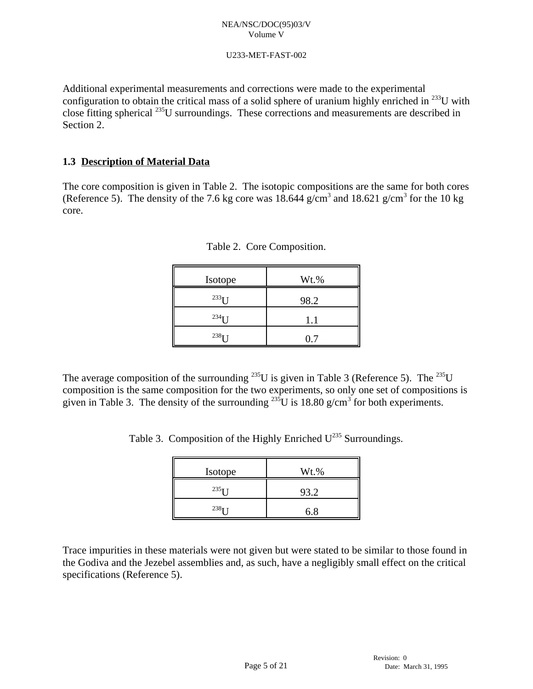# U233-MET-FAST-002

Additional experimental measurements and corrections were made to the experimental configuration to obtain the critical mass of a solid sphere of uranium highly enriched in  $^{233}$ U with close fitting spherical  $^{235}$ U surroundings. These corrections and measurements are described in Section 2.

# **1.3 Description of Material Data**

The core composition is given in Table 2. The isotopic compositions are the same for both cores (Reference 5). The density of the 7.6 kg core was  $18.644$  g/cm<sup>3</sup> and  $18.621$  g/cm<sup>3</sup> for the 10 kg core.

| Isotope      | Wt.% |
|--------------|------|
| $^{233}$ I J | 98.2 |
| $^{234}$ I I | 1.1  |
| $^{238}$ I J | 0.7  |

|  |  | Table 2. Core Composition. |
|--|--|----------------------------|
|--|--|----------------------------|

The average composition of the surrounding <sup>235</sup>U is given in Table 3 (Reference 5). The <sup>235</sup>U composition is the same composition for the two experiments, so only one set of compositions is given in Table 3. The density of the surrounding <sup>235</sup>U is 18.80 g/cm<sup>3</sup> for both experiments.

Table 3. Composition of the Highly Enriched  $U^{235}$  Surroundings.

| Isotope      | Wt.% |
|--------------|------|
| $^{235}$ I I | 93.2 |
| $238$ T T    | 6.8  |

Trace impurities in these materials were not given but were stated to be similar to those found in the Godiva and the Jezebel assemblies and, as such, have a negligibly small effect on the critical specifications (Reference 5).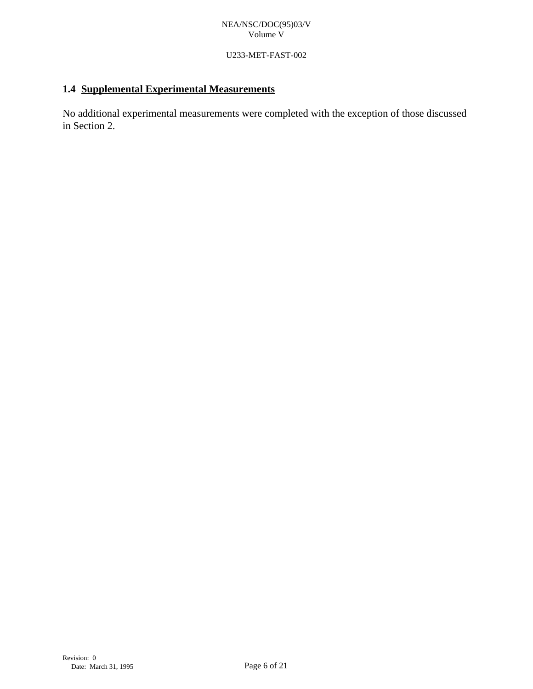# U233-MET-FAST-002

# **1.4 Supplemental Experimental Measurements**

No additional experimental measurements were completed with the exception of those discussed in Section 2.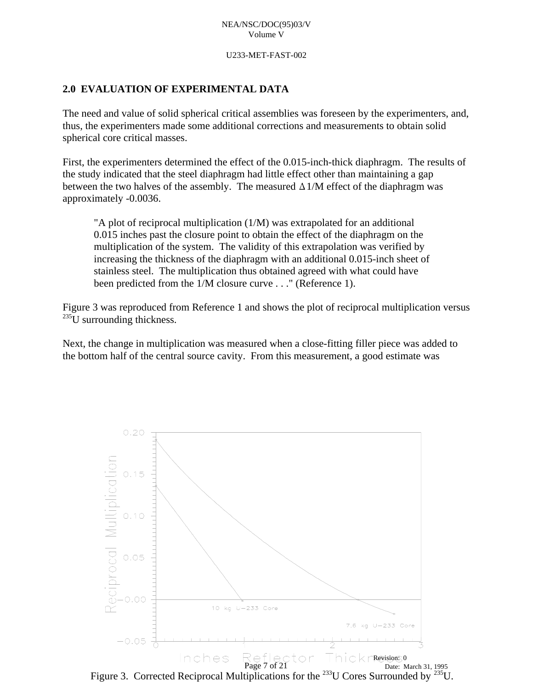U233-MET-FAST-002

# **2.0 EVALUATION OF EXPERIMENTAL DATA**

The need and value of solid spherical critical assemblies was foreseen by the experimenters, and, thus, the experimenters made some additional corrections and measurements to obtain solid spherical core critical masses.

First, the experimenters determined the effect of the 0.015-inch-thick diaphragm. The results of the study indicated that the steel diaphragm had little effect other than maintaining a gap between the two halves of the assembly. The measured  $\Delta 1/M$  effect of the diaphragm was approximately -0.0036.

"A plot of reciprocal multiplication (1/M) was extrapolated for an additional 0.015 inches past the closure point to obtain the effect of the diaphragm on the multiplication of the system. The validity of this extrapolation was verified by increasing the thickness of the diaphragm with an additional 0.015-inch sheet of stainless steel. The multiplication thus obtained agreed with what could have been predicted from the 1/M closure curve . . ." (Reference 1).

Figure 3 was reproduced from Reference 1 and shows the plot of reciprocal multiplication versus  $^{235}$ U surrounding thickness.

Next, the change in multiplication was measured when a close-fitting filler piece was added to the bottom half of the central source cavity. From this measurement, a good estimate was



Figure 3. Corrected Reciprocal Multiplications for the <sup>233</sup>U Cores Surrounded by <sup>235</sup>U.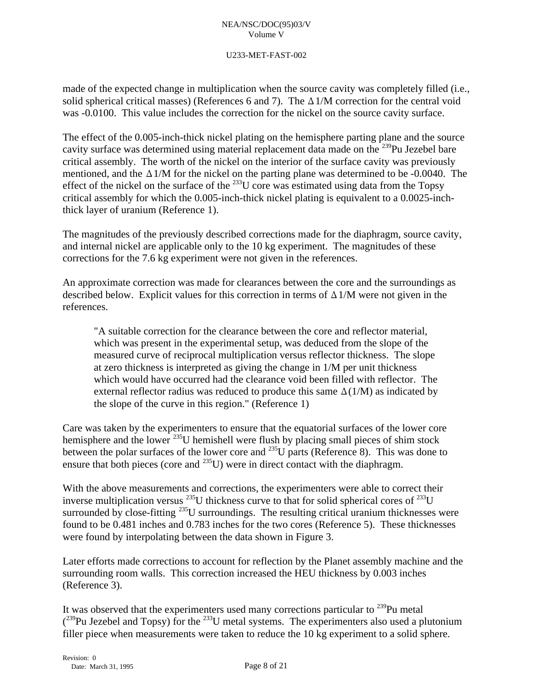# U233-MET-FAST-002

made of the expected change in multiplication when the source cavity was completely filled (i.e., solid spherical critical masses) (References 6 and 7). The  $\Delta 1/M$  correction for the central void was -0.0100. This value includes the correction for the nickel on the source cavity surface.

The effect of the 0.005-inch-thick nickel plating on the hemisphere parting plane and the source cavity surface was determined using material replacement data made on the  $^{239}$ Pu Jezebel bare critical assembly. The worth of the nickel on the interior of the surface cavity was previously mentioned, and the  $\Delta 1/M$  for the nickel on the parting plane was determined to be -0.0040. The effect of the nickel on the surface of the  $^{233}$ U core was estimated using data from the Topsy critical assembly for which the 0.005-inch-thick nickel plating is equivalent to a 0.0025-inchthick layer of uranium (Reference 1).

The magnitudes of the previously described corrections made for the diaphragm, source cavity, and internal nickel are applicable only to the 10 kg experiment. The magnitudes of these corrections for the 7.6 kg experiment were not given in the references.

An approximate correction was made for clearances between the core and the surroundings as described below. Explicit values for this correction in terms of  $\Delta 1/M$  were not given in the references.

"A suitable correction for the clearance between the core and reflector material, which was present in the experimental setup, was deduced from the slope of the measured curve of reciprocal multiplication versus reflector thickness. The slope at zero thickness is interpreted as giving the change in 1/M per unit thickness which would have occurred had the clearance void been filled with reflector. The external reflector radius was reduced to produce this same  $\Delta(1/M)$  as indicated by the slope of the curve in this region." (Reference 1)

Care was taken by the experimenters to ensure that the equatorial surfaces of the lower core hemisphere and the lower <sup>235</sup>U hemishell were flush by placing small pieces of shim stock between the polar surfaces of the lower core and  $^{235}$ U parts (Reference 8). This was done to ensure that both pieces (core and  $^{235}$ U) were in direct contact with the diaphragm.

With the above measurements and corrections, the experimenters were able to correct their inverse multiplication versus  $^{235}U$  thickness curve to that for solid spherical cores of  $^{233}U$ surrounded by close-fitting  $^{235}$ U surroundings. The resulting critical uranium thicknesses were found to be 0.481 inches and 0.783 inches for the two cores (Reference 5). These thicknesses were found by interpolating between the data shown in Figure 3.

Later efforts made corrections to account for reflection by the Planet assembly machine and the surrounding room walls. This correction increased the HEU thickness by 0.003 inches (Reference 3).

It was observed that the experimenters used many corrections particular to  $^{239}$ Pu metal  $($ <sup>239</sup>Pu Jezebel and Topsy) for the <sup>233</sup>U metal systems. The experimenters also used a plutonium filler piece when measurements were taken to reduce the 10 kg experiment to a solid sphere.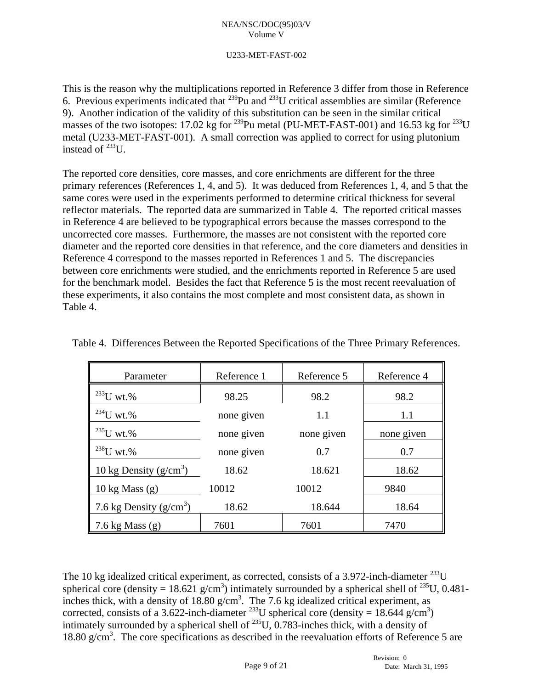# U233-MET-FAST-002

This is the reason why the multiplications reported in Reference 3 differ from those in Reference 6. Previous experiments indicated that  $^{239}$ Pu and  $^{233}$ U critical assemblies are similar (Reference 9). Another indication of the validity of this substitution can be seen in the similar critical masses of the two isotopes: 17.02 kg for <sup>239</sup>Pu metal (PU-MET-FAST-001) and 16.53 kg for <sup>233</sup>U metal (U233-MET-FAST-001). A small correction was applied to correct for using plutonium instead of  $^{233}$ U.

The reported core densities, core masses, and core enrichments are different for the three primary references (References 1, 4, and 5). It was deduced from References 1, 4, and 5 that the same cores were used in the experiments performed to determine critical thickness for several reflector materials. The reported data are summarized in Table 4. The reported critical masses in Reference 4 are believed to be typographical errors because the masses correspond to the uncorrected core masses. Furthermore, the masses are not consistent with the reported core diameter and the reported core densities in that reference, and the core diameters and densities in Reference 4 correspond to the masses reported in References 1 and 5. The discrepancies between core enrichments were studied, and the enrichments reported in Reference 5 are used for the benchmark model. Besides the fact that Reference 5 is the most recent reevaluation of these experiments, it also contains the most complete and most consistent data, as shown in Table 4.

| Parameter                 | Reference 1 | Reference 5 | Reference 4 |
|---------------------------|-------------|-------------|-------------|
| $^{233}$ U wt. $%$        | 98.25       | 98.2        | 98.2        |
| $^{234}$ U wt. $%$        | none given  | 1.1         | 1.1         |
| $^{235}$ U wt.%           | none given  | none given  | none given  |
| $^{238}$ U wt.%           | none given  | 0.7         | 0.7         |
| 10 kg Density $(g/cm^3)$  | 18.62       | 18.621      | 18.62       |
| 10 kg Mass $(g)$          | 10012       | 10012       | 9840        |
| 7.6 kg Density $(g/cm^3)$ | 18.62       | 18.644      | 18.64       |
| 7.6 kg Mass $(g)$         | 7601        | 7601        | 7470        |

Table 4. Differences Between the Reported Specifications of the Three Primary References.

The 10 kg idealized critical experiment, as corrected, consists of a 3.972-inch-diameter  $^{233}$ U spherical core (density = 18.621 g/cm<sup>3</sup>) intimately surrounded by a spherical shell of <sup>235</sup>U, 0.481inches thick, with a density of 18.80 g/cm<sup>3</sup>. The 7.6 kg idealized critical experiment, as corrected, consists of a 3.622-inch-diameter <sup>233</sup>U spherical core (density = 18.644 g/cm<sup>3</sup>) intimately surrounded by a spherical shell of  $^{235}$ U, 0.783-inches thick, with a density of 18.80 g/cm<sup>3</sup>. The core specifications as described in the reevaluation efforts of Reference 5 are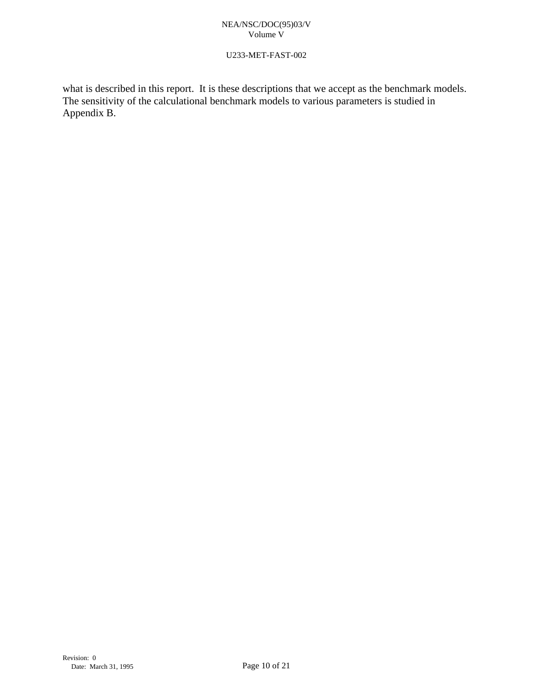# U233-MET-FAST-002

what is described in this report. It is these descriptions that we accept as the benchmark models. The sensitivity of the calculational benchmark models to various parameters is studied in Appendix B.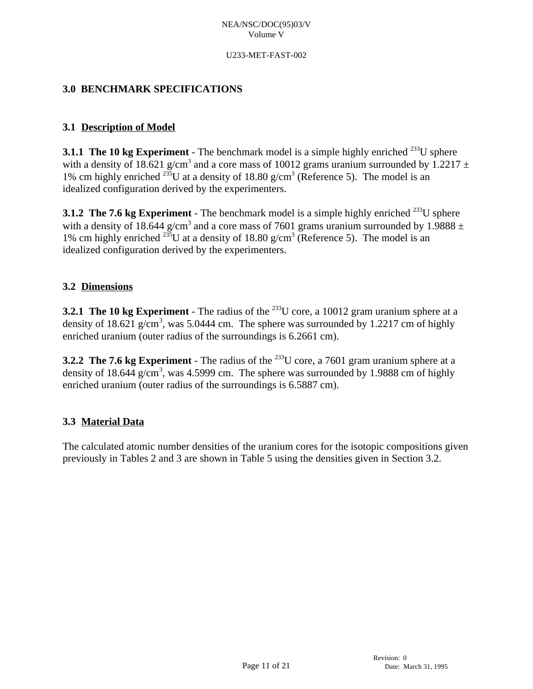## U233-MET-FAST-002

# **3.0 BENCHMARK SPECIFICATIONS**

# **3.1 Description of Model**

**3.1.1 The 10 kg Experiment** - The benchmark model is a simple highly enriched  $^{233}$ U sphere with a density of 18.621 g/cm<sup>3</sup> and a core mass of 10012 grams uranium surrounded by 1.2217  $\pm$ 1% cm highly enriched  $^{235}U$  at a density of 18.80 g/cm<sup>3</sup> (Reference 5). The model is an idealized configuration derived by the experimenters.

**3.1.2 The 7.6 kg Experiment** - The benchmark model is a simple highly enriched  $^{233}$ U sphere with a density of 18.644 g/cm<sup>3</sup> and a core mass of 7601 grams uranium surrounded by 1.9888  $\pm$ 1% cm highly enriched <sup>235</sup>U at a density of 18.80 g/cm<sup>3</sup> (Reference 5). The model is an idealized configuration derived by the experimenters.

# **3.2 Dimensions**

**3.2.1 The 10 kg Experiment** - The radius of the  $^{233}$ U core, a 10012 gram uranium sphere at a density of 18.621 g/cm<sup>3</sup>, was 5.0444 cm. The sphere was surrounded by 1.2217 cm of highly enriched uranium (outer radius of the surroundings is 6.2661 cm).

**3.2.2 The 7.6 kg Experiment** - The radius of the  $^{233}$ U core, a 7601 gram uranium sphere at a density of 18.644 g/cm<sup>3</sup>, was 4.5999 cm. The sphere was surrounded by 1.9888 cm of highly enriched uranium (outer radius of the surroundings is 6.5887 cm).

# **3.3 Material Data**

The calculated atomic number densities of the uranium cores for the isotopic compositions given previously in Tables 2 and 3 are shown in Table 5 using the densities given in Section 3.2.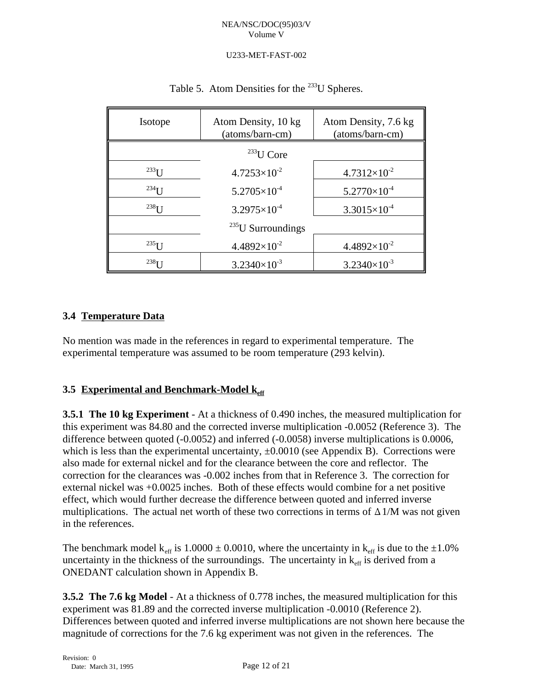# U233-MET-FAST-002

| Isotope              | Atom Density, 10 kg<br>(atoms/barn-cm) | Atom Density, 7.6 kg<br>(atoms/barn-cm) |
|----------------------|----------------------------------------|-----------------------------------------|
|                      | $233$ U Core                           |                                         |
| $^{233}$ U           | $4.7253\times10^{-2}$                  | $4.7312\times10^{-2}$                   |
| $234$ U              | $5.2705\times10^{-4}$                  | $5.2770\times10^{-4}$                   |
| $^{238}$ I I         | $3.2975\times10^{-4}$                  | $3.3015\times10^{-4}$                   |
|                      | $^{235}$ U Surroundings                |                                         |
| $^{235}$ I J         | $4.4892\times10^{-2}$                  | $4.4892\times10^{-2}$                   |
| $238$ <sup>T</sup> I | $3.2340\times10^{-3}$                  | $3.2340\times10^{-3}$                   |

# Table 5. Atom Densities for the  $^{233}$ U Spheres.

# **3.4 Temperature Data**

No mention was made in the references in regard to experimental temperature. The experimental temperature was assumed to be room temperature (293 kelvin).

# **3.5 Experimental and Benchmark-Model keff**

**3.5.1 The 10 kg Experiment** - At a thickness of 0.490 inches, the measured multiplication for this experiment was 84.80 and the corrected inverse multiplication -0.0052 (Reference 3). The difference between quoted (-0.0052) and inferred (-0.0058) inverse multiplications is 0.0006, which is less than the experimental uncertainty,  $\pm 0.0010$  (see Appendix B). Corrections were also made for external nickel and for the clearance between the core and reflector. The correction for the clearances was -0.002 inches from that in Reference 3. The correction for external nickel was +0.0025 inches. Both of these effects would combine for a net positive effect, which would further decrease the difference between quoted and inferred inverse multiplications. The actual net worth of these two corrections in terms of  $\Delta 1/M$  was not given in the references.

The benchmark model  $k_{\text{eff}}$  is 1.0000  $\pm$  0.0010, where the uncertainty in  $k_{\text{eff}}$  is due to the  $\pm$ 1.0% uncertainty in the thickness of the surroundings. The uncertainty in  $k_{\text{eff}}$  is derived from a ONEDANT calculation shown in Appendix B.

**3.5.2 The 7.6 kg Model** - At a thickness of 0.778 inches, the measured multiplication for this experiment was 81.89 and the corrected inverse multiplication -0.0010 (Reference 2). Differences between quoted and inferred inverse multiplications are not shown here because the magnitude of corrections for the 7.6 kg experiment was not given in the references. The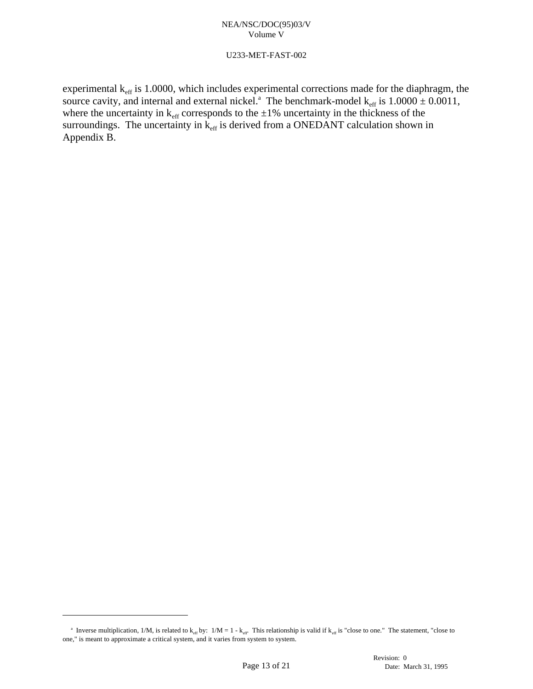## U233-MET-FAST-002

experimental  $k_{\text{eff}}$  is 1.0000, which includes experimental corrections made for the diaphragm, the source cavity, and internal and external nickel.<sup>3</sup> The benchmark-model  $k_{\text{eff}}$  is  $1.0000 \pm 0.0011$ , where the uncertainty in  $k_{\text{eff}}$  corresponds to the  $\pm 1\%$  uncertainty in the thickness of the surroundings. The uncertainty in  $k_{\text{eff}}$  is derived from a ONEDANT calculation shown in Appendix B.

<sup>&</sup>lt;sup>a</sup> Inverse multiplication, 1/M, is related to  $k_{eff}$  by:  $1/M = 1 - k_{eff}$ . This relationship is valid if  $k_{eff}$  is "close to one." The statement, "close to one," is meant to approximate a critical system, and it varies from system to system.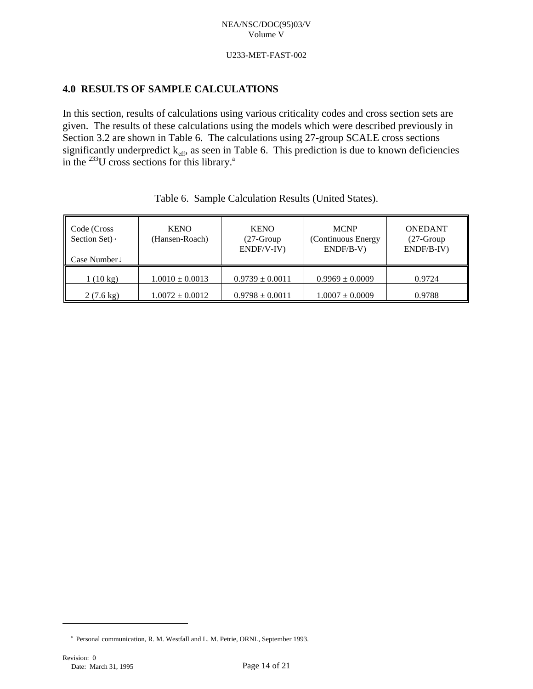#### U233-MET-FAST-002

# **4.0 RESULTS OF SAMPLE CALCULATIONS**

In this section, results of calculations using various criticality codes and cross section sets are given. The results of these calculations using the models which were described previously in Section 3.2 are shown in Table 6. The calculations using 27-group SCALE cross sections significantly underpredict  $k_{\text{eff}}$ , as seen in Table 6. This prediction is due to known deficiencies in the  $^{233}$ U cross sections for this library.<sup>3</sup>

| Code (Cross<br>Section Set $)$ <sup>-1</sup><br>Case Number! | <b>KENO</b><br>(Hansen-Roach) | <b>KENO</b><br>$(27-Group$<br>ENDF/V-IV) | <b>MCNP</b><br>(Continuous Energy<br>$ENDF/B-V)$ | <b>ONEDANT</b><br>$(27-Group$<br>ENDF/B-IV) |
|--------------------------------------------------------------|-------------------------------|------------------------------------------|--------------------------------------------------|---------------------------------------------|
| $1(10 \text{ kg})$                                           | $1.0010 \pm 0.0013$           | $0.9739 \pm 0.0011$                      | $0.9969 \pm 0.0009$                              | 0.9724                                      |
| $2(7.6 \text{ kg})$                                          | $1.0072 \pm 0.0012$           | $0.9798 \pm 0.0011$                      | $1.0007 \pm 0.0009$                              | 0.9788                                      |

|  | Table 6. Sample Calculation Results (United States). |  |  |  |
|--|------------------------------------------------------|--|--|--|
|--|------------------------------------------------------|--|--|--|

<sup>&</sup>lt;sup>a</sup> Personal communication, R. M. Westfall and L. M. Petrie, ORNL, September 1993.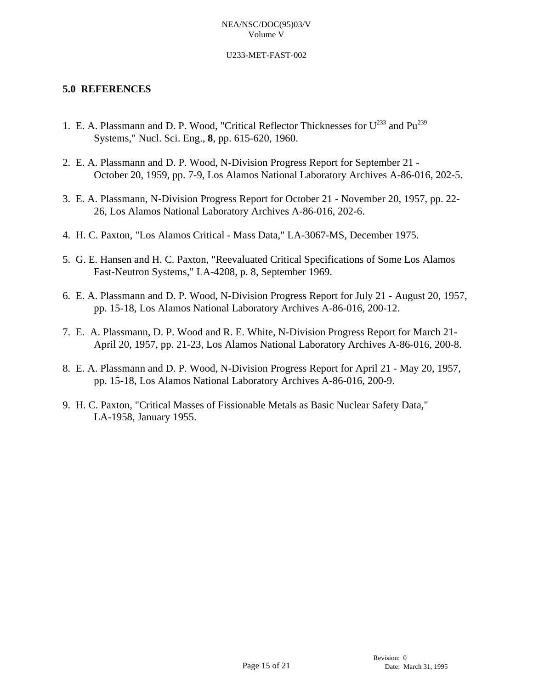## U233-MET-FAST-002

# **5.0 REFERENCES**

- 1. E. A. Plassmann and D. P. Wood, "Critical Reflector Thicknesses for  $U^{233}$  and  $Pu^{239}$ Systems," Nucl. Sci. Eng., **8**, pp. 615-620, 1960.
- 2. E. A. Plassmann and D. P. Wood, N-Division Progress Report for September 21 October 20, 1959, pp. 7-9, Los Alamos National Laboratory Archives A-86-016, 202-5.
- 3. E. A. Plassmann, N-Division Progress Report for October 21 November 20, 1957, pp. 22- 26, Los Alamos National Laboratory Archives A-86-016, 202-6.
- 4. H. C. Paxton, "Los Alamos Critical Mass Data," LA-3067-MS, December 1975.
- 5. G. E. Hansen and H. C. Paxton, "Reevaluated Critical Specifications of Some Los Alamos Fast-Neutron Systems," LA-4208, p. 8, September 1969.
- 6. E. A. Plassmann and D. P. Wood, N-Division Progress Report for July 21 August 20, 1957, pp. 15-18, Los Alamos National Laboratory Archives A-86-016, 200-12.
- 7. E. A. Plassmann, D. P. Wood and R. E. White, N-Division Progress Report for March 21- April 20, 1957, pp. 21-23, Los Alamos National Laboratory Archives A-86-016, 200-8.
- 8. E. A. Plassmann and D. P. Wood, N-Division Progress Report for April 21 May 20, 1957, pp. 15-18, Los Alamos National Laboratory Archives A-86-016, 200-9.
- 9. H. C. Paxton, "Critical Masses of Fissionable Metals as Basic Nuclear Safety Data," LA-1958, January 1955.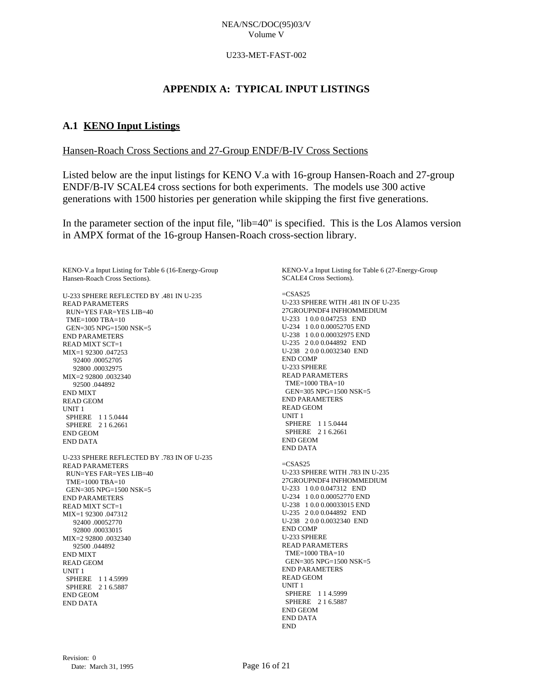#### U233-MET-FAST-002

# **APPENDIX A: TYPICAL INPUT LISTINGS**

# **A.1 KENO Input Listings**

# Hansen-Roach Cross Sections and 27-Group ENDF/B-IV Cross Sections

Listed below are the input listings for KENO V.a with 16-group Hansen-Roach and 27-group ENDF/B-IV SCALE4 cross sections for both experiments. The models use 300 active generations with 1500 histories per generation while skipping the first five generations.

In the parameter section of the input file, "lib=40" is specified. This is the Los Alamos version in AMPX format of the 16-group Hansen-Roach cross-section library.

KENO-V.a Input Listing for Table 6 (16-Energy-Group Hansen-Roach Cross Sections).

U-233 SPHERE REFLECTED BY .481 IN U-235 READ PARAMETERS RUN=YES FAR=YES LIB=40  $TME=1000 TRA=10$  GEN=305 NPG=1500 NSK=5 END PARAMETERS READ MIXT SCT=1 MIX=1 92300 .047253 92400 .00052705 92800 .00032975 MIX=2 92800 .0032340 92500 .044892 END MIXT READ GEOM UNIT 1 SPHERE 1 1 5.0444 SPHERE 2 1 6.2661 END GEOM END DATA U-233 SPHERE REFLECTED BY .783 IN OF U-235 READ PARAMETERS RUN=YES FAR=YES LIB=40 TME=1000 TBA=10 GEN=305 NPG=1500 NSK=5 END PARAMETERS  $R$ EAD MIXT SCT=1 MIX=1 92300 .047312 92400 .00052770 92800 .00033015  $MIX=292800.0032340$  92500 .044892 END MIXT READ GEOM UNIT 1 SPHERE 1 1 4.5999 SPHERE 2 1 6.5887 END GEOM END DATA

KENO-V.a Input Listing for Table 6 (27-Energy-Group SCALE4 Cross Sections).

 $=$ CSAS25 U-233 SPHERE WITH .481 IN OF U-235 27GROUPNDF4 INFHOMMEDIUM U-233 1 0.0 0.047253 END U-234 1 0.0 0.00052705 END U-238 1 0.0 0.00032975 END U-235 2 0.0 0.044892 END U-238 2 0.0 0.0032340 END END COMP U-233 SPHERE READ PARAMETERS TME=1000 TBA=10 GEN=305 NPG=1500 NSK=5 END PARAMETERS READ GEOM UNIT 1 SPHERE 1 1 5.0444 SPHERE 2 1 6.2661 END GEOM END DATA =CSAS25 U-233 SPHERE WITH .783 IN U-235 27GROUPNDF4 INFHOMMEDIUM U-233 1 0.0 0.047312 END U-234 1 0.0 0.00052770 END U-238 1 0.0 0.00033015 END U-235 2 0.0 0.044892 END U-238 2 0.0 0.0032340 END END COMP U-233 SPHERE READ PARAMETERS TME=1000 TBA=10 GEN=305 NPG=1500 NSK=5 END PARAMETERS READ GEOM UNIT 1 SPHERE 1 1 4.5999 SPHERE 2 1 6.5887 END GEOM END DATA END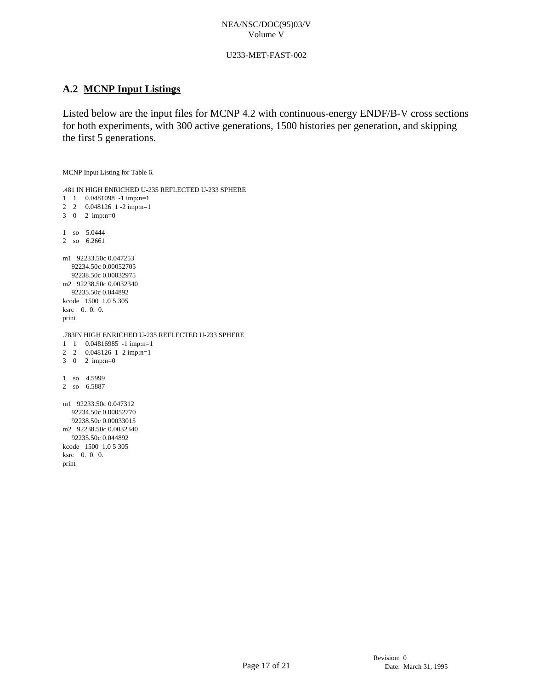### U233-MET-FAST-002

# **A.2 MCNP Input Listings**

Listed below are the input files for MCNP 4.2 with continuous-energy ENDF/B-V cross sections for both experiments, with 300 active generations, 1500 histories per generation, and skipping the first 5 generations.

MCNP Input Listing for Table 6.

```
.481 IN HIGH ENRICHED U-235 REFLECTED U-233 SPHERE 
1 1 0.0481098 -1 imp:n=1
2 2 0.048126 1 -2 imp:n=1 
3 0 2 imp:n=0
1 so 5.0444
2 so 6.2661 
m1 92233.50c 0.047253 
   92234.50c 0.00052705 
   92238.50c 0.00032975 
m2 92238.50c 0.0032340 
  92235.50c 0.044892 
kcode 1500 1.0 5 305 
ksrc 0. 0. 0.
print
.783IN HIGH ENRICHED U-235 REFLECTED U-233 SPHERE 
1 1 0.04816985 -1 imp:n=1
2 2 0.048126 1 -2 imp:n=1 
3 0 2 imp:n=0
1 so 4.5999
2 so 6.5887 
m1 92233.50c 0.047312 
   92234.50c 0.00052770 
   92238.50c 0.00033015 
m2 92238.50c 0.0032340 
   92235.50c 0.044892 
kcode 1500 1.0 5 305 
ksrc 0. 0. 0.
print
```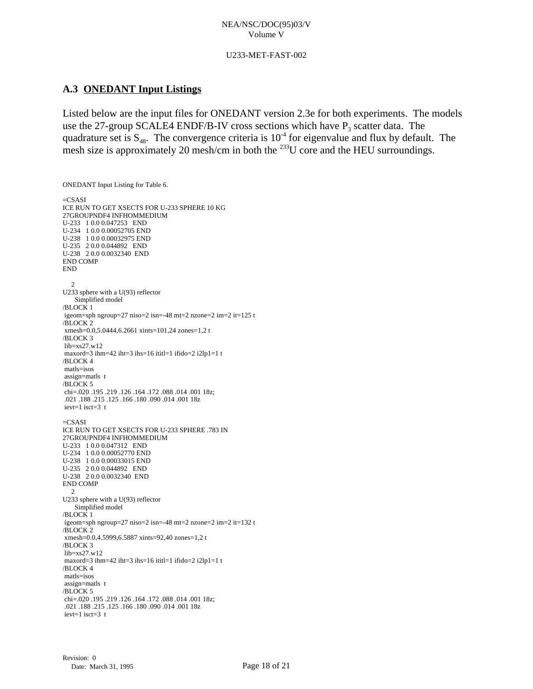#### U233-MET-FAST-002

# **A.3 ONEDANT Input Listings**

ONEDANT Input Listing for Table 6.

Listed below are the input files for ONEDANT version 2.3e for both experiments. The models use the 27-group SCALE4 ENDF/B-IV cross sections which have  $P_3$  scatter data. The quadrature set is  $S_{48}$ . The convergence criteria is  $10^4$  for eigenvalue and flux by default. The mesh size is approximately 20 mesh/cm in both the  $^{233}$ U core and the HEU surroundings.

 $=$ CSASI ICE RUN TO GET XSECTS FOR U-233 SPHERE 10 KG 27GROUPNDF4 INFHOMMEDIUM U-233 1 0.0 0.047253 END U-234 1 0.0 0.00052705 END U-238 1 0.0 0.00032975 END U-235 2 0.0 0.044892 END U-238 2 0.0 0.0032340 END END COMP END 2 U233 sphere with a U(93) reflector Simplified model /BLOCK 1 igeom=sph ngroup=27 niso=2 isn=-48 mt=2 nzone=2 im=2 it=125 t /BLOCK 2 xmesh=0.0,5.0444,6.2661 xints=101,24 zones=1,2 t /BLOCK 3 lib=xs27.w12 maxord=3 ihm=42 iht=3 ihs=16 ititl=1 ifido=2 i2lp1=1 t /BLOCK 4 matls=isos assign=matls t /BLOCK 5 chi=.020 .195 .219 .126 .164 .172 .088 .014 .001 18z; .021 .188 .215 .125 .166 .180 .090 .014 .001 18z ievt=1 isct=3 t  $=$ CSASI ICE RUN TO GET XSECTS FOR U-233 SPHERE .783 IN 27GROUPNDF4 INFHOMMEDIUM U-233 1 0.0 0.047312 END U-234 1 0.0 0.00052770 END U-238 1 0.0 0.00033015 END U-235 2 0.0 0.044892 END U-238 2 0.0 0.0032340 END END COMP 2 U233 sphere with a U(93) reflector Simplified model /BLOCK 1 igeom=sph ngroup=27 niso=2 isn=-48 mt=2 nzone=2 im=2 it=132 t /BLOCK 2 xmesh=0.0,4.5999,6.5887 xints=92,40 zones=1,2 t /BLOCK 3 lib=xs27.w12 maxord=3 ihm=42 iht=3 ihs=16 ititl=1 ifido=2 i2lp1=1 t /BLOCK 4 matls=isos assign=matls t /BLOCK 5 chi=.020 .195 .219 .126 .164 .172 .088 .014 .001 18z; .021 .188 .215 .125 .166 .180 .090 .014 .001 18z ievt=1 isct=3 t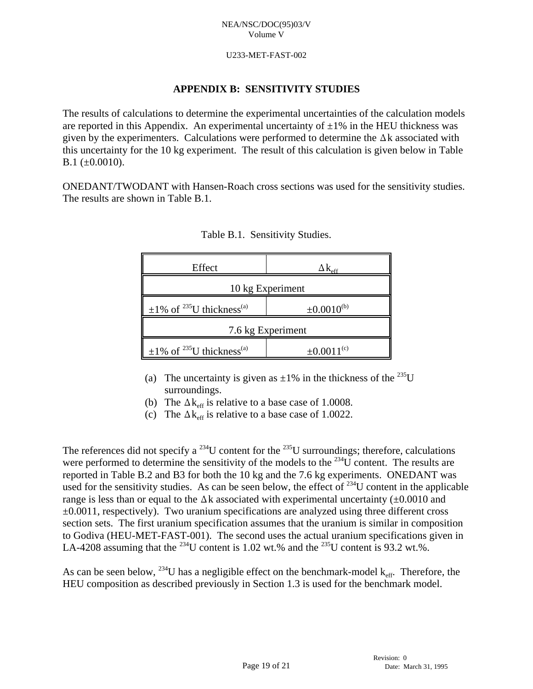## U233-MET-FAST-002

# **APPENDIX B: SENSITIVITY STUDIES**

The results of calculations to determine the experimental uncertainties of the calculation models are reported in this Appendix. An experimental uncertainty of  $\pm 1\%$  in the HEU thickness was given by the experimenters. Calculations were performed to determine the  $\Delta k$  associated with this uncertainty for the 10 kg experiment. The result of this calculation is given below in Table B.1  $(\pm 0.0010)$ .

ONEDANT/TWODANT with Hansen-Roach cross sections was used for the sensitivity studies. The results are shown in Table B.1.

| Effect                                                 | $\Delta K_{\rm eff}$ |  |
|--------------------------------------------------------|----------------------|--|
|                                                        | 10 kg Experiment     |  |
| $\pm 1\%$ of <sup>235</sup> U thickness <sup>(a)</sup> | $\pm 0.0010^{(b)}$   |  |
| 7.6 kg Experiment                                      |                      |  |
| $\pm 1\%$ of <sup>235</sup> U thickness <sup>(a)</sup> | $\pm 0.0011^{(c)}$   |  |

Table B.1. Sensitivity Studies.

- (a) The uncertainty is given as  $\pm 1\%$  in the thickness of the <sup>235</sup>U surroundings.
- (b) The  $\Delta k_{\text{eff}}$  is relative to a base case of 1.0008.
- (c) The  $\Delta k_{\text{eff}}$  is relative to a base case of 1.0022.

The references did not specify a <sup>234</sup>U content for the <sup>235</sup>U surroundings; therefore, calculations were performed to determine the sensitivity of the models to the  $^{234}$ U content. The results are reported in Table B.2 and B3 for both the 10 kg and the 7.6 kg experiments. ONEDANT was used for the sensitivity studies. As can be seen below, the effect of  $^{234}$ U content in the applicable range is less than or equal to the  $\Delta k$  associated with experimental uncertainty ( $\pm 0.0010$  and  $\pm 0.0011$ , respectively). Two uranium specifications are analyzed using three different cross section sets. The first uranium specification assumes that the uranium is similar in composition to Godiva (HEU-MET-FAST-001). The second uses the actual uranium specifications given in LA-4208 assuming that the <sup>234</sup>U content is 1.02 wt.% and the <sup>235</sup>U content is 93.2 wt.%.

As can be seen below, <sup>234</sup>U has a negligible effect on the benchmark-model  $k_{\text{eff}}$ . Therefore, the HEU composition as described previously in Section 1.3 is used for the benchmark model.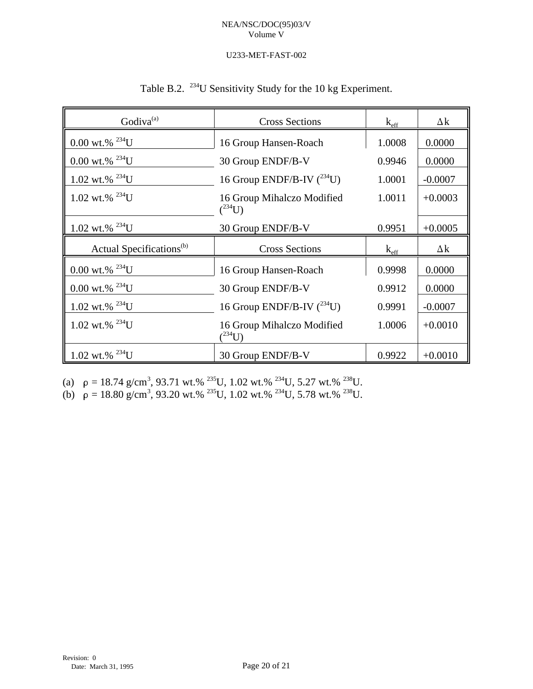# U233-MET-FAST-002

|  |  |  |  | Table B.2. <sup>234</sup> U Sensitivity Study for the 10 kg Experiment. |
|--|--|--|--|-------------------------------------------------------------------------|
|--|--|--|--|-------------------------------------------------------------------------|

| Godiva <sup>(a)</sup>                | <b>Cross Sections</b>                     | $k_{\text{eff}}$ | $\Delta k$ |
|--------------------------------------|-------------------------------------------|------------------|------------|
| $0.00$ wt.% <sup>234</sup> U         | 16 Group Hansen-Roach                     | 1.0008           | 0.0000     |
| $0.00$ wt.% $^{234}$ U               | 30 Group ENDF/B-V                         | 0.9946           | 0.0000     |
| 1.02 wt.% $^{234}$ U                 | 16 Group ENDF/B-IV $(^{234}$ U)           | 1.0001           | $-0.0007$  |
| 1.02 wt.% $^{234}$ U                 | 16 Group Mihalczo Modified<br>$(^{234}U)$ | 1.0011           | $+0.0003$  |
| 1.02 wt.% $^{234}$ U                 | 30 Group ENDF/B-V                         | 0.9951           | $+0.0005$  |
| Actual Specifications <sup>(b)</sup> | <b>Cross Sections</b>                     | $k_{\text{eff}}$ | $\Delta k$ |
| $0.00$ wt.% $^{234}$ U               | 16 Group Hansen-Roach                     | 0.9998           | 0.0000     |
| $0.00$ wt.% $^{234}$ U               | 30 Group ENDF/B-V                         | 0.9912           | 0.0000     |
| 1.02 wt.% $^{234}$ U                 | 16 Group ENDF/B-IV $(^{234}$ U)           | 0.9991           | $-0.0007$  |
| $1.02$ wt.% $^{234}$ U               | 16 Group Mihalczo Modified<br>$(^{234}U)$ | 1.0006           | $+0.0010$  |
| 1.02 wt.% $^{234}$ U                 | 30 Group ENDF/B-V                         | 0.9922           | $+0.0010$  |

(a)  $\rho = 18.74$  g/cm<sup>3</sup>, 93.71 wt.% <sup>235</sup>U, 1.02 wt.% <sup>234</sup>U, 5.27 wt.% <sup>238</sup>U.

(b)  $\rho = 18.80 \text{ g/cm}^3$ , 93.20 wt.% <sup>235</sup>U, 1.02 wt.% <sup>234</sup>U, 5.78 wt.% <sup>238</sup>U.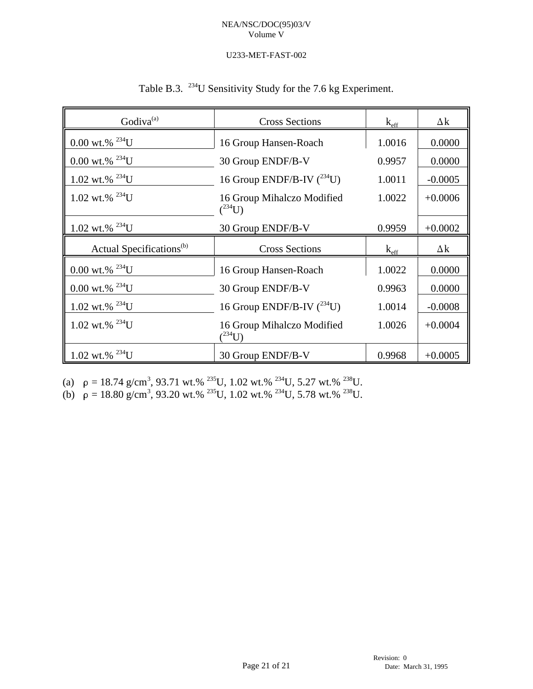# U233-MET-FAST-002

| Godiva <sup>(a)</sup>                | <b>Cross Sections</b>                      | $k_{\text{eff}}$ | $\Delta k$ |
|--------------------------------------|--------------------------------------------|------------------|------------|
| $0.00$ wt.% $^{234}$ U               | 16 Group Hansen-Roach                      | 1.0016           | 0.0000     |
| $0.00$ wt.% $^{234}$ U               | 30 Group ENDF/B-V                          | 0.9957           | 0.0000     |
| 1.02 wt.% $^{234}$ U                 | 16 Group ENDF/B-IV $(^{234}$ U)            | 1.0011           | $-0.0005$  |
| 1.02 wt.% $^{234}$ U                 | 16 Group Mihalczo Modified<br>$(^{234}U)$  | 1.0022           | $+0.0006$  |
| 1.02 wt.% $^{234}$ U                 | 30 Group ENDF/B-V                          | 0.9959           | $+0.0002$  |
| Actual Specifications <sup>(b)</sup> | <b>Cross Sections</b>                      | $k_{\text{eff}}$ | $\Delta k$ |
| $0.00$ wt.% $^{234}$ U               | 16 Group Hansen-Roach                      | 1.0022           | 0.0000     |
| $0.00$ wt.% $^{234}$ U               | 30 Group ENDF/B-V                          | 0.9963           | 0.0000     |
| 1.02 wt.% $^{234}$ U                 | 16 Group ENDF/B-IV $(^{234}U)$             | 1.0014           | $-0.0008$  |
| 1.02 wt.% $^{234}$ U                 | 16 Group Mihalczo Modified<br>$(1^{234}U)$ | 1.0026           | $+0.0004$  |
| 1.02 wt.% $^{234}$ U                 | 30 Group ENDF/B-V                          | 0.9968           | $+0.0005$  |

(a)  $\rho = 18.74$  g/cm<sup>3</sup>, 93.71 wt.% <sup>235</sup>U, 1.02 wt.% <sup>234</sup>U, 5.27 wt.% <sup>238</sup>U.

(b)  $\rho = 18.80 \text{ g/cm}^3$ , 93.20 wt.% <sup>235</sup>U, 1.02 wt.% <sup>234</sup>U, 5.78 wt.% <sup>238</sup>U.